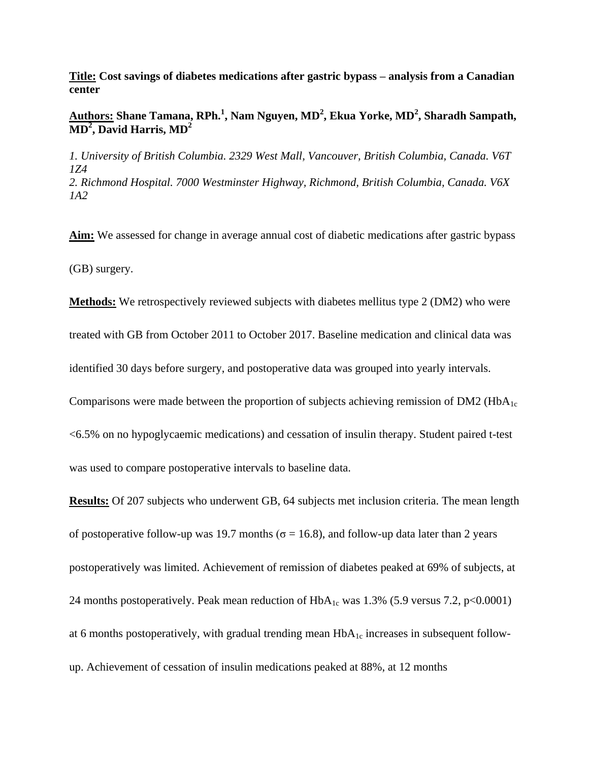**Title: Cost savings of diabetes medications after gastric bypass – analysis from a Canadian center**

## **Authors: Shane Tamana, RPh.<sup>1</sup> , Nam Nguyen, MD<sup>2</sup> , Ekua Yorke, MD<sup>2</sup> , Sharadh Sampath, MD<sup>2</sup> , David Harris, MD<sup>2</sup>**

*1. University of British Columbia. 2329 West Mall, Vancouver, British Columbia, Canada. V6T 1Z4 2. Richmond Hospital. 7000 Westminster Highway, Richmond, British Columbia, Canada. V6X 1A2*

**Aim:** We assessed for change in average annual cost of diabetic medications after gastric bypass (GB) surgery.

**Methods:** We retrospectively reviewed subjects with diabetes mellitus type 2 (DM2) who were

treated with GB from October 2011 to October 2017. Baseline medication and clinical data was

identified 30 days before surgery, and postoperative data was grouped into yearly intervals.

Comparisons were made between the proportion of subjects achieving remission of DM2 (HbA<sub>1c</sub>)

<6.5% on no hypoglycaemic medications) and cessation of insulin therapy. Student paired t-test was used to compare postoperative intervals to baseline data.

**Results:** Of 207 subjects who underwent GB, 64 subjects met inclusion criteria. The mean length of postoperative follow-up was 19.7 months ( $\sigma$  = 16.8), and follow-up data later than 2 years postoperatively was limited. Achievement of remission of diabetes peaked at 69% of subjects, at 24 months postoperatively. Peak mean reduction of  $HbA_{1c}$  was 1.3% (5.9 versus 7.2, p<0.0001) at 6 months postoperatively, with gradual trending mean  $HbA_{1c}$  increases in subsequent followup. Achievement of cessation of insulin medications peaked at 88%, at 12 months